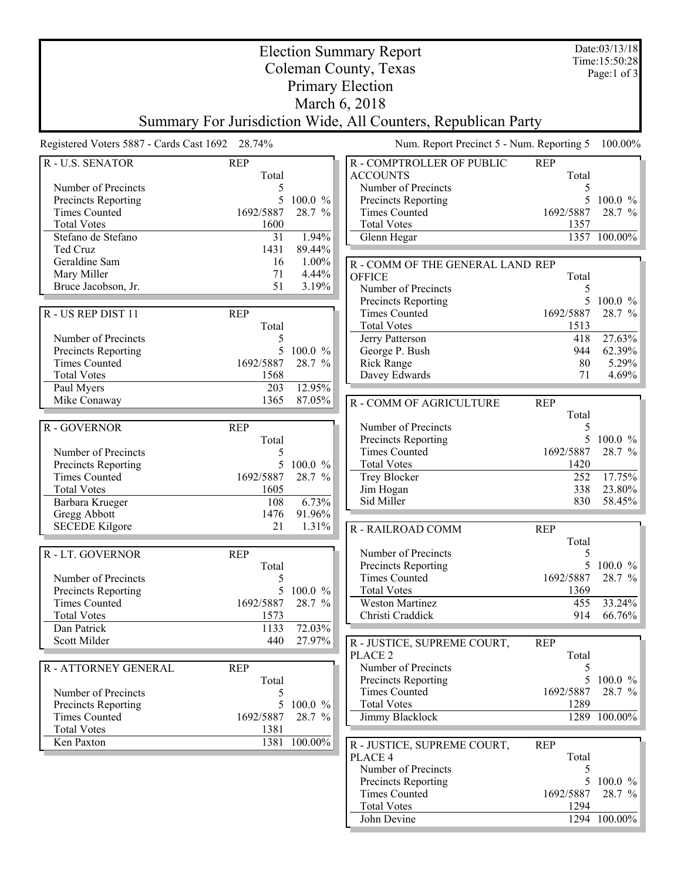|                                                         |                                                 | Date:03/13/18<br>Time: 15:50:28 |                                                               |                   |                     |
|---------------------------------------------------------|-------------------------------------------------|---------------------------------|---------------------------------------------------------------|-------------------|---------------------|
| <b>Election Summary Report</b><br>Coleman County, Texas |                                                 |                                 |                                                               |                   | Page:1 of $3$       |
|                                                         |                                                 |                                 | <b>Primary Election</b>                                       |                   |                     |
|                                                         |                                                 |                                 | March 6, 2018                                                 |                   |                     |
|                                                         |                                                 |                                 | Summary For Jurisdiction Wide, All Counters, Republican Party |                   |                     |
|                                                         | Registered Voters 5887 - Cards Cast 1692 28.74% |                                 | Num. Report Precinct 5 - Num. Reporting 5                     |                   | 100.00%             |
| R - U.S. SENATOR                                        | <b>REP</b>                                      |                                 | R - COMPTROLLER OF PUBLIC                                     | <b>REP</b>        |                     |
|                                                         | Total                                           |                                 | <b>ACCOUNTS</b>                                               | Total             |                     |
| Number of Precincts                                     | 5                                               |                                 | Number of Precincts                                           | 5                 |                     |
| Precincts Reporting                                     | 5                                               | 100.0 %                         | Precincts Reporting                                           | 5                 | $100.0 \%$          |
| <b>Times Counted</b><br><b>Total Votes</b>              | 1692/5887<br>1600                               | 28.7 %                          | <b>Times Counted</b><br><b>Total Votes</b>                    | 1692/5887<br>1357 | 28.7 %              |
| Stefano de Stefano                                      | 31                                              | 1.94%                           | Glenn Hegar                                                   |                   | 1357 100.00%        |
| Ted Cruz                                                | 1431                                            | 89.44%                          |                                                               |                   |                     |
| Geraldine Sam                                           | 16                                              | 1.00%                           | R - COMM OF THE GENERAL LAND REP                              |                   |                     |
| Mary Miller                                             | 71                                              | 4.44%                           | <b>OFFICE</b>                                                 | Total             |                     |
| Bruce Jacobson, Jr.                                     | 51                                              | 3.19%                           | Number of Precincts                                           | 5                 |                     |
|                                                         |                                                 |                                 | Precincts Reporting                                           | 5                 | 100.0 %             |
| R - US REP DIST 11                                      | <b>REP</b>                                      |                                 | <b>Times Counted</b><br><b>Total Votes</b>                    | 1692/5887<br>1513 | 28.7 %              |
| Number of Precincts                                     | Total<br>5                                      |                                 | Jerry Patterson                                               | 418               | 27.63%              |
| Precincts Reporting                                     | 5                                               | 100.0 %                         | George P. Bush                                                | 944               | $62.39\%$           |
| <b>Times Counted</b>                                    | 1692/5887                                       | 28.7 %                          | <b>Rick Range</b>                                             | 80                | $5.29\%$            |
| <b>Total Votes</b>                                      | 1568                                            |                                 | Davey Edwards                                                 | 71                | 4.69%               |
| Paul Myers                                              | 203                                             | 12.95%                          |                                                               |                   |                     |
| Mike Conaway                                            | 1365                                            | 87.05%                          | R - COMM OF AGRICULTURE                                       | <b>REP</b>        |                     |
|                                                         |                                                 |                                 |                                                               | Total             |                     |
| R - GOVERNOR                                            | <b>REP</b>                                      |                                 | Number of Precincts                                           | 5                 |                     |
| Number of Precincts                                     | Total<br>5                                      |                                 | Precincts Reporting<br><b>Times Counted</b>                   | 1692/5887         | 5 100.0 %<br>28.7 % |
| Precincts Reporting                                     | 5                                               | 100.0 %                         | <b>Total Votes</b>                                            | 1420              |                     |
| <b>Times Counted</b>                                    | 1692/5887                                       | 28.7 %                          | Trey Blocker                                                  | 252               | 17.75%              |
| <b>Total Votes</b>                                      | 1605                                            |                                 | Jim Hogan                                                     | 338               | $23.80\%$           |
| Barbara Krueger                                         | 108                                             | 6.73%                           | Sid Miller                                                    | 830               | 58.45%              |
| Gregg Abbott                                            | 1476                                            | 91.96%                          |                                                               |                   |                     |
| <b>SECEDE Kilgore</b>                                   | 21                                              | 1.31%                           | R - RAILROAD COMM                                             | <b>REP</b>        |                     |
| R - LT. GOVERNOR                                        | <b>REP</b>                                      |                                 | Number of Precincts                                           | Total<br>5        |                     |
|                                                         | Total                                           |                                 | Precincts Reporting                                           |                   | 5 100.0 $\%$        |
| Number of Precincts                                     | 5                                               |                                 | <b>Times Counted</b>                                          | 1692/5887         | 28.7 %              |
| Precincts Reporting                                     | 5                                               | 100.0 %                         | <b>Total Votes</b>                                            | 1369              |                     |
| <b>Times Counted</b>                                    | 1692/5887                                       | 28.7 %                          | Weston Martinez                                               | 455               | $33.24\%$           |
| <b>Total Votes</b>                                      | 1573                                            |                                 | Christi Craddick                                              | 914               | $66.76\%$           |
| Dan Patrick                                             | 1133                                            | 72.03%                          |                                                               |                   |                     |
| Scott Milder                                            | 440                                             | 27.97%                          | R - JUSTICE, SUPREME COURT,                                   | <b>REP</b>        |                     |
| R - ATTORNEY GENERAL                                    | <b>REP</b>                                      |                                 | PLACE <sub>2</sub><br>Number of Precincts                     | Total<br>5        |                     |
|                                                         | Total                                           |                                 | Precincts Reporting                                           |                   | 5 100.0 $\%$        |
| Number of Precincts                                     | 5                                               |                                 | <b>Times Counted</b>                                          | 1692/5887         | 28.7 $\%$           |
| Precincts Reporting                                     | 5                                               | 100.0 %                         | <b>Total Votes</b>                                            | 1289              |                     |
| <b>Times Counted</b>                                    | 1692/5887                                       | 28.7 %                          | Jimmy Blacklock                                               |                   | 1289 100.00%        |
| <b>Total Votes</b>                                      | 1381                                            |                                 |                                                               |                   |                     |
| Ken Paxton                                              |                                                 | 1381 100.00%                    | R - JUSTICE, SUPREME COURT,                                   | <b>REP</b>        |                     |
|                                                         |                                                 |                                 | PLACE 4                                                       | Total             |                     |
|                                                         |                                                 |                                 | Number of Precincts<br>Precincts Reporting                    | 5<br>5            | $100.0 \%$          |
|                                                         |                                                 |                                 | <b>Times Counted</b>                                          | 1692/5887         | 28.7 %              |
|                                                         |                                                 |                                 | <b>Total Votes</b>                                            | 1294              |                     |
|                                                         |                                                 |                                 | John Devine                                                   |                   | 1294 100.00%        |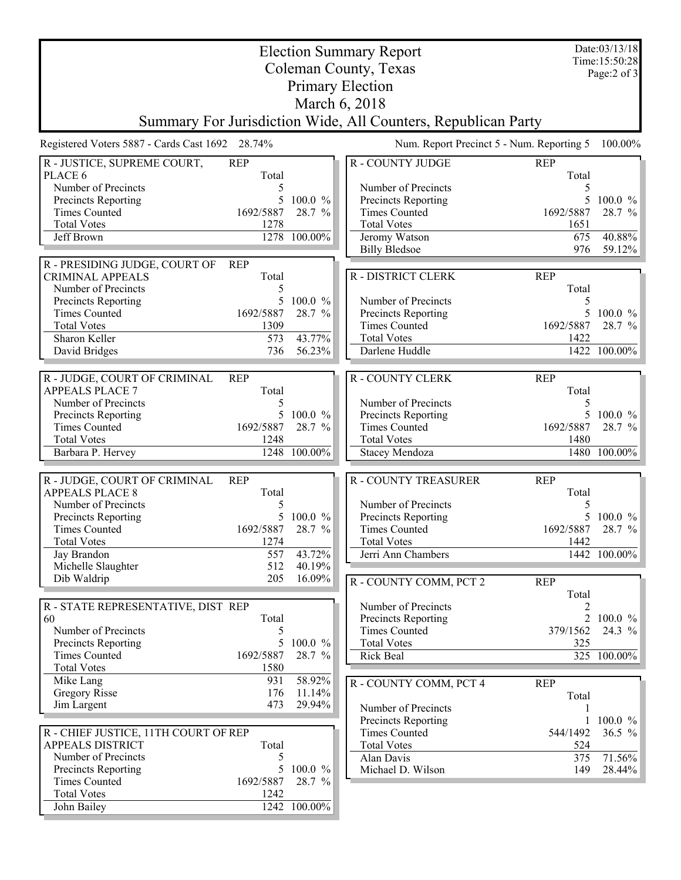| <b>Election Summary Report</b>                                |                   |                                     |                                             |                                           | Date:03/13/18<br>Time:15:50:28 |  |  |  |  |
|---------------------------------------------------------------|-------------------|-------------------------------------|---------------------------------------------|-------------------------------------------|--------------------------------|--|--|--|--|
| Coleman County, Texas                                         |                   |                                     |                                             |                                           |                                |  |  |  |  |
| Page:2 of 3<br><b>Primary Election</b>                        |                   |                                     |                                             |                                           |                                |  |  |  |  |
| March 6, 2018                                                 |                   |                                     |                                             |                                           |                                |  |  |  |  |
| Summary For Jurisdiction Wide, All Counters, Republican Party |                   |                                     |                                             |                                           |                                |  |  |  |  |
| Registered Voters 5887 - Cards Cast 1692 28.74%               |                   |                                     |                                             | Num. Report Precinct 5 - Num. Reporting 5 | 100.00%                        |  |  |  |  |
| R - JUSTICE, SUPREME COURT,                                   | <b>REP</b>        |                                     | <b>R-COUNTY JUDGE</b>                       | <b>REP</b>                                |                                |  |  |  |  |
| PLACE 6                                                       | Total             |                                     |                                             | Total                                     |                                |  |  |  |  |
| Number of Precincts<br>Precincts Reporting                    | 5<br>5            | $100.0 \%$                          | Number of Precincts<br>Precincts Reporting  | 5                                         | $100.0 \%$                     |  |  |  |  |
| <b>Times Counted</b>                                          | 1692/5887         | 28.7 %                              | <b>Times Counted</b>                        | 1692/5887                                 | 28.7 %                         |  |  |  |  |
| <b>Total Votes</b>                                            | 1278              |                                     | <b>Total Votes</b>                          | 1651                                      |                                |  |  |  |  |
| Jeff Brown                                                    |                   | 1278 100.00%                        | Jeromy Watson                               | 675                                       | 40.88%                         |  |  |  |  |
|                                                               |                   |                                     | <b>Billy Bledsoe</b>                        | 976                                       | 59.12%                         |  |  |  |  |
| R - PRESIDING JUDGE, COURT OF                                 | <b>REP</b>        |                                     |                                             |                                           |                                |  |  |  |  |
| <b>CRIMINAL APPEALS</b>                                       | Total             |                                     | R - DISTRICT CLERK                          | <b>REP</b>                                |                                |  |  |  |  |
| Number of Precincts                                           | 5                 |                                     |                                             | Total                                     |                                |  |  |  |  |
| Precincts Reporting<br><b>Times Counted</b>                   | 5<br>1692/5887    | 100.0 %<br>28.7 %                   | Number of Precincts<br>Precincts Reporting  | 5<br>5                                    | $100.0 \%$                     |  |  |  |  |
| <b>Total Votes</b>                                            | 1309              |                                     | <b>Times Counted</b>                        | 1692/5887                                 | 28.7 %                         |  |  |  |  |
| Sharon Keller                                                 | 573               | 43.77%                              | <b>Total Votes</b>                          | 1422                                      |                                |  |  |  |  |
| David Bridges                                                 | 736               | 56.23%                              | Darlene Huddle                              |                                           | 1422 100.00%                   |  |  |  |  |
|                                                               |                   |                                     |                                             |                                           |                                |  |  |  |  |
| R - JUDGE, COURT OF CRIMINAL                                  | <b>REP</b>        |                                     | <b>R-COUNTY CLERK</b>                       | <b>REP</b>                                |                                |  |  |  |  |
| <b>APPEALS PLACE 7</b>                                        | Total             |                                     |                                             | Total                                     |                                |  |  |  |  |
| Number of Precincts                                           | 5                 |                                     | Number of Precincts                         | 5                                         |                                |  |  |  |  |
| Precincts Reporting                                           | 5                 | 100.0 %                             | Precincts Reporting                         | 5                                         | 100.0 %                        |  |  |  |  |
| <b>Times Counted</b><br><b>Total Votes</b>                    | 1692/5887<br>1248 | 28.7 %                              | <b>Times Counted</b><br><b>Total Votes</b>  | 1692/5887<br>1480                         | 28.7 %                         |  |  |  |  |
| Barbara P. Hervey                                             | 1248              | 100.00%                             | Stacey Mendoza                              |                                           | 1480 100.00%                   |  |  |  |  |
|                                                               |                   |                                     |                                             |                                           |                                |  |  |  |  |
| R - JUDGE, COURT OF CRIMINAL                                  | <b>REP</b>        |                                     | <b>R-COUNTY TREASURER</b>                   | <b>REP</b>                                |                                |  |  |  |  |
| <b>APPEALS PLACE 8</b>                                        | Total             |                                     |                                             | Total                                     |                                |  |  |  |  |
| Number of Precincts                                           | 5                 |                                     | Number of Precincts                         | 5                                         |                                |  |  |  |  |
| Precincts Reporting<br>Times Counted                          | 5<br>1692/5887    | $100.0 \%$<br>28.7<br>$\frac{0}{0}$ | Precincts Reporting<br><b>Times Counted</b> | 5<br>1692/5887                            | $100.0 \%$<br>28.7 %           |  |  |  |  |
| <b>Total Votes</b>                                            | 1274              |                                     | <b>Total Votes</b>                          | 1442                                      |                                |  |  |  |  |
| Jay Brandon                                                   | 557               | 43.72%                              | Jerri Ann Chambers                          |                                           | 1442 100.00%                   |  |  |  |  |
| Michelle Slaughter                                            | 512               | 40.19%                              |                                             |                                           |                                |  |  |  |  |
| Dib Waldrip                                                   | 205               | 16.09%                              | R - COUNTY COMM, PCT 2                      | <b>REP</b>                                |                                |  |  |  |  |
|                                                               |                   |                                     |                                             | Total                                     |                                |  |  |  |  |
| R - STATE REPRESENTATIVE, DIST REP                            |                   |                                     | Number of Precincts                         | 2                                         |                                |  |  |  |  |
| 60                                                            | Total             |                                     | Precincts Reporting                         |                                           | 2 100.0 $\%$                   |  |  |  |  |
| Number of Precincts                                           | 5                 |                                     | <b>Times Counted</b>                        | 379/1562                                  | 24.3 %                         |  |  |  |  |
| Precincts Reporting<br><b>Times Counted</b>                   | 1692/5887         | 5 100.0 %<br>28.7 %                 | <b>Total Votes</b><br>Rick Beal             | 325                                       | 325 100.00%                    |  |  |  |  |
| <b>Total Votes</b>                                            | 1580              |                                     |                                             |                                           |                                |  |  |  |  |
| Mike Lang                                                     | 931               | 58.92%                              | R - COUNTY COMM, PCT 4                      | <b>REP</b>                                |                                |  |  |  |  |
| <b>Gregory Risse</b>                                          | 176               | 11.14%                              |                                             | Total                                     |                                |  |  |  |  |
| Jim Largent                                                   | 473               | 29.94%                              | Number of Precincts                         |                                           |                                |  |  |  |  |
|                                                               |                   |                                     | Precincts Reporting                         |                                           | $100.0 \%$                     |  |  |  |  |
| R - CHIEF JUSTICE, 11TH COURT OF REP                          |                   |                                     | <b>Times Counted</b>                        | 544/1492                                  | $36.5 \%$                      |  |  |  |  |
| <b>APPEALS DISTRICT</b>                                       | Total             |                                     | <b>Total Votes</b>                          | 524                                       |                                |  |  |  |  |
| Number of Precincts                                           | 5                 |                                     | Alan Davis                                  | 375                                       | 71.56%                         |  |  |  |  |
| Precincts Reporting<br><b>Times Counted</b>                   | 5<br>1692/5887    | 100.0 %<br>28.7 %                   | Michael D. Wilson                           | 149                                       | 28.44%                         |  |  |  |  |
| <b>Total Votes</b>                                            | 1242              |                                     |                                             |                                           |                                |  |  |  |  |
| John Bailey                                                   |                   | 1242 100.00%                        |                                             |                                           |                                |  |  |  |  |
|                                                               |                   |                                     |                                             |                                           |                                |  |  |  |  |